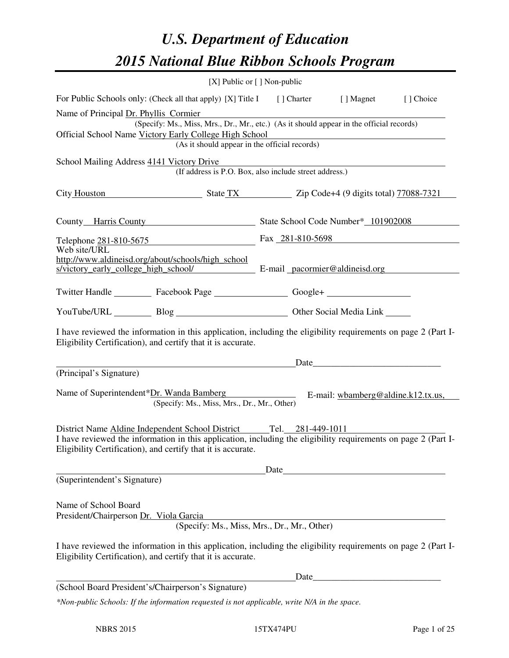# *U.S. Department of Education 2015 National Blue Ribbon Schools Program*

|                                                                                                                                                                                                                                   | [X] Public or $[$ ] Non-public                                                           |                                              |      |  |           |  |  |
|-----------------------------------------------------------------------------------------------------------------------------------------------------------------------------------------------------------------------------------|------------------------------------------------------------------------------------------|----------------------------------------------|------|--|-----------|--|--|
| For Public Schools only: (Check all that apply) [X] Title I [] Charter [] Magnet                                                                                                                                                  |                                                                                          |                                              |      |  | [] Choice |  |  |
| Name of Principal Dr. Phyllis Cormier                                                                                                                                                                                             | (Specify: Ms., Miss, Mrs., Dr., Mr., etc.) (As it should appear in the official records) |                                              |      |  |           |  |  |
| Official School Name Victory Early College High School<br><u> 1989 - Johann Stoff, deutscher Stoffen und der Stoffen und der Stoffen und der Stoffen und der Stoffen und der</u><br>(As it should appear in the official records) |                                                                                          |                                              |      |  |           |  |  |
| School Mailing Address 4141 Victory Drive                                                                                                                                                                                         | (If address is P.O. Box, also include street address.)                                   |                                              |      |  |           |  |  |
| City Houston State TX Zip Code+4 (9 digits total) 77088-7321                                                                                                                                                                      |                                                                                          |                                              |      |  |           |  |  |
| County Harris County County State School Code Number* 101902008                                                                                                                                                                   |                                                                                          |                                              |      |  |           |  |  |
| Telephone 281-810-5675 Fax 281-810-5698                                                                                                                                                                                           |                                                                                          |                                              |      |  |           |  |  |
| Web site/URL<br>http://www.aldineisd.org/about/schools/high_school<br>s/victory_early_college_high_school/ E-mail_pacormier@aldineisd.org                                                                                         |                                                                                          |                                              |      |  |           |  |  |
| Twitter Handle ___________ Facebook Page __________________ Google+ ____________                                                                                                                                                  |                                                                                          |                                              |      |  |           |  |  |
|                                                                                                                                                                                                                                   |                                                                                          | YouTube/URL Blog Blog Cher Social Media Link |      |  |           |  |  |
| I have reviewed the information in this application, including the eligibility requirements on page 2 (Part I-<br>Eligibility Certification), and certify that it is accurate.                                                    |                                                                                          |                                              |      |  |           |  |  |
|                                                                                                                                                                                                                                   | <u> 1989 - Johann Barn, fransk politik fotograf (</u>                                    |                                              |      |  |           |  |  |
| (Principal's Signature)                                                                                                                                                                                                           |                                                                                          |                                              |      |  |           |  |  |
| Name of Superintendent*Dr. Wanda Bamberg E-mail: wbamberg@aldine.k12.tx.us,                                                                                                                                                       | (Specify: Ms., Miss, Mrs., Dr., Mr., Other)                                              |                                              |      |  |           |  |  |
| District Name Aldine Independent School District Tel. 281-449-1011                                                                                                                                                                |                                                                                          |                                              |      |  |           |  |  |
| I have reviewed the information in this application, including the eligibility requirements on page 2 (Part I-<br>Eligibility Certification), and certify that it is accurate.                                                    |                                                                                          |                                              |      |  |           |  |  |
|                                                                                                                                                                                                                                   |                                                                                          | Date                                         |      |  |           |  |  |
| (Superintendent's Signature)                                                                                                                                                                                                      |                                                                                          |                                              |      |  |           |  |  |
| Name of School Board<br>President/Chairperson Dr. Viola Garcia                                                                                                                                                                    | (Specify: Ms., Miss, Mrs., Dr., Mr., Other)                                              |                                              |      |  |           |  |  |
| I have reviewed the information in this application, including the eligibility requirements on page 2 (Part I-<br>Eligibility Certification), and certify that it is accurate.                                                    |                                                                                          |                                              |      |  |           |  |  |
|                                                                                                                                                                                                                                   |                                                                                          |                                              | Date |  |           |  |  |
| (School Board President's/Chairperson's Signature)                                                                                                                                                                                |                                                                                          |                                              |      |  |           |  |  |
| *Non-public Schools: If the information requested is not applicable, write N/A in the space.                                                                                                                                      |                                                                                          |                                              |      |  |           |  |  |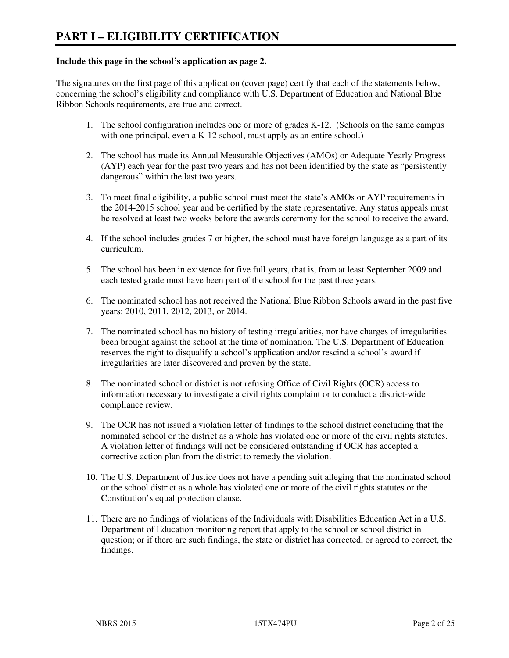#### **Include this page in the school's application as page 2.**

The signatures on the first page of this application (cover page) certify that each of the statements below, concerning the school's eligibility and compliance with U.S. Department of Education and National Blue Ribbon Schools requirements, are true and correct.

- 1. The school configuration includes one or more of grades K-12. (Schools on the same campus with one principal, even a K-12 school, must apply as an entire school.)
- 2. The school has made its Annual Measurable Objectives (AMOs) or Adequate Yearly Progress (AYP) each year for the past two years and has not been identified by the state as "persistently dangerous" within the last two years.
- 3. To meet final eligibility, a public school must meet the state's AMOs or AYP requirements in the 2014-2015 school year and be certified by the state representative. Any status appeals must be resolved at least two weeks before the awards ceremony for the school to receive the award.
- 4. If the school includes grades 7 or higher, the school must have foreign language as a part of its curriculum.
- 5. The school has been in existence for five full years, that is, from at least September 2009 and each tested grade must have been part of the school for the past three years.
- 6. The nominated school has not received the National Blue Ribbon Schools award in the past five years: 2010, 2011, 2012, 2013, or 2014.
- 7. The nominated school has no history of testing irregularities, nor have charges of irregularities been brought against the school at the time of nomination. The U.S. Department of Education reserves the right to disqualify a school's application and/or rescind a school's award if irregularities are later discovered and proven by the state.
- 8. The nominated school or district is not refusing Office of Civil Rights (OCR) access to information necessary to investigate a civil rights complaint or to conduct a district-wide compliance review.
- 9. The OCR has not issued a violation letter of findings to the school district concluding that the nominated school or the district as a whole has violated one or more of the civil rights statutes. A violation letter of findings will not be considered outstanding if OCR has accepted a corrective action plan from the district to remedy the violation.
- 10. The U.S. Department of Justice does not have a pending suit alleging that the nominated school or the school district as a whole has violated one or more of the civil rights statutes or the Constitution's equal protection clause.
- 11. There are no findings of violations of the Individuals with Disabilities Education Act in a U.S. Department of Education monitoring report that apply to the school or school district in question; or if there are such findings, the state or district has corrected, or agreed to correct, the findings.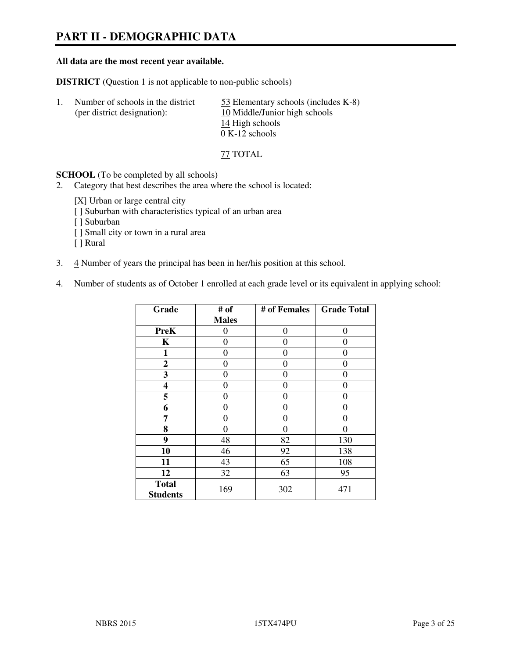# **PART II - DEMOGRAPHIC DATA**

#### **All data are the most recent year available.**

**DISTRICT** (Question 1 is not applicable to non-public schools)

| Number of schools in the district<br>(per district designation): | 53 Elementary schools (includes K-8)<br>10 Middle/Junior high schools |
|------------------------------------------------------------------|-----------------------------------------------------------------------|
|                                                                  | 14 High schools                                                       |
|                                                                  | $0 K-12$ schools                                                      |

77 TOTAL

**SCHOOL** (To be completed by all schools)

- 2. Category that best describes the area where the school is located:
	- [X] Urban or large central city
	- [ ] Suburban with characteristics typical of an urban area
	- [ ] Suburban
	- [ ] Small city or town in a rural area
	- [ ] Rural
- 3. 4 Number of years the principal has been in her/his position at this school.
- 4. Number of students as of October 1 enrolled at each grade level or its equivalent in applying school:

| Grade                           | # of         | # of Females | <b>Grade Total</b> |
|---------------------------------|--------------|--------------|--------------------|
|                                 | <b>Males</b> |              |                    |
| <b>PreK</b>                     | 0            | $\theta$     | 0                  |
| K                               | 0            | 0            | $\theta$           |
| 1                               | 0            | 0            | 0                  |
| $\mathbf{2}$                    | 0            | 0            | 0                  |
| 3                               | 0            | 0            | 0                  |
| 4                               | 0            | 0            | 0                  |
| 5                               | 0            | 0            | $\theta$           |
| 6                               | 0            | $\theta$     | 0                  |
| 7                               | 0            | 0            | 0                  |
| 8                               | 0            | 0            | 0                  |
| 9                               | 48           | 82           | 130                |
| 10                              | 46           | 92           | 138                |
| 11                              | 43           | 65           | 108                |
| 12                              | 32           | 63           | 95                 |
| <b>Total</b><br><b>Students</b> | 169          | 302          | 471                |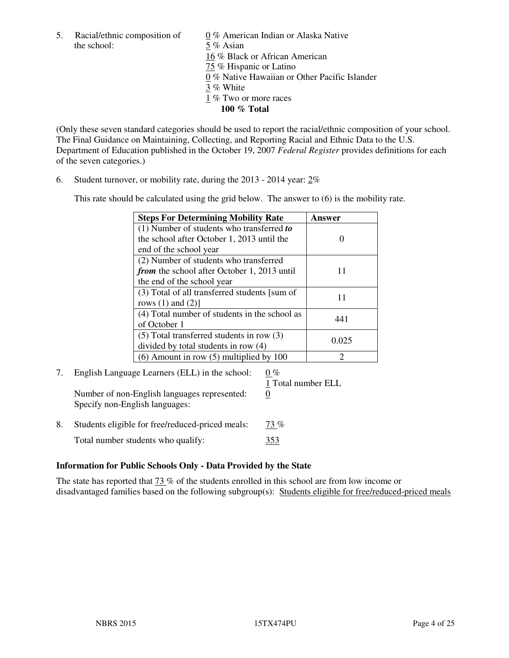the school: 5 % Asian

5. Racial/ethnic composition of  $0\%$  American Indian or Alaska Native 16 % Black or African American 75 % Hispanic or Latino 0 % Native Hawaiian or Other Pacific Islander 3 % White 1 % Two or more races **100 % Total** 

(Only these seven standard categories should be used to report the racial/ethnic composition of your school. The Final Guidance on Maintaining, Collecting, and Reporting Racial and Ethnic Data to the U.S. Department of Education published in the October 19, 2007 *Federal Register* provides definitions for each of the seven categories.)

6. Student turnover, or mobility rate, during the 2013 - 2014 year: 2%

This rate should be calculated using the grid below. The answer to (6) is the mobility rate.

| <b>Steps For Determining Mobility Rate</b>    | Answer |
|-----------------------------------------------|--------|
| $(1)$ Number of students who transferred to   |        |
| the school after October 1, 2013 until the    |        |
| end of the school year                        |        |
| (2) Number of students who transferred        |        |
| from the school after October 1, 2013 until   | 11     |
| the end of the school year                    |        |
| (3) Total of all transferred students [sum of | 11     |
| rows $(1)$ and $(2)$ ]                        |        |
| (4) Total number of students in the school as | 441    |
| of October 1                                  |        |
| $(5)$ Total transferred students in row $(3)$ | 0.025  |
| divided by total students in row (4)          |        |
| $(6)$ Amount in row $(5)$ multiplied by 100   | ႒      |

# 7. English Language Learners (ELL) in the school:  $0\%$

Number of non-English languages represented: 0 Specify non-English languages:

- 1 Total number ELL
- 8. Students eligible for free/reduced-priced meals:  $\frac{73\%}{20\%}$ Total number students who qualify:  $353$

#### **Information for Public Schools Only - Data Provided by the State**

The state has reported that  $\frac{73}{6}$  % of the students enrolled in this school are from low income or disadvantaged families based on the following subgroup(s): Students eligible for free/reduced-priced meals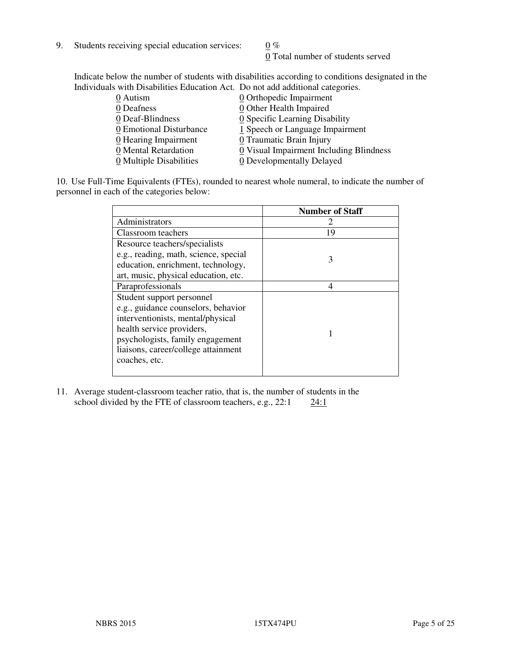9. Students receiving special education services:  $0\%$ 

0 Total number of students served

Indicate below the number of students with disabilities according to conditions designated in the Individuals with Disabilities Education Act. Do not add additional categories.

| 0 Autism                | $\underline{0}$ Orthopedic Impairment   |
|-------------------------|-----------------------------------------|
| 0 Deafness              | 0 Other Health Impaired                 |
| 0 Deaf-Blindness        | 0 Specific Learning Disability          |
| 0 Emotional Disturbance | 1 Speech or Language Impairment         |
| 0 Hearing Impairment    | 0 Traumatic Brain Injury                |
| 0 Mental Retardation    | 0 Visual Impairment Including Blindness |
| 0 Multiple Disabilities | 0 Developmentally Delayed               |
|                         |                                         |

10. Use Full-Time Equivalents (FTEs), rounded to nearest whole numeral, to indicate the number of personnel in each of the categories below:

|                                       | <b>Number of Staff</b> |
|---------------------------------------|------------------------|
| Administrators                        |                        |
| Classroom teachers                    | 19                     |
| Resource teachers/specialists         |                        |
| e.g., reading, math, science, special | 3                      |
| education, enrichment, technology,    |                        |
| art, music, physical education, etc.  |                        |
| Paraprofessionals                     | 4                      |
| Student support personnel             |                        |
| e.g., guidance counselors, behavior   |                        |
| interventionists, mental/physical     |                        |
| health service providers,             |                        |
| psychologists, family engagement      |                        |
| liaisons, career/college attainment   |                        |
| coaches, etc.                         |                        |
|                                       |                        |

11. Average student-classroom teacher ratio, that is, the number of students in the school divided by the FTE of classroom teachers, e.g.,  $22:1$   $24:1$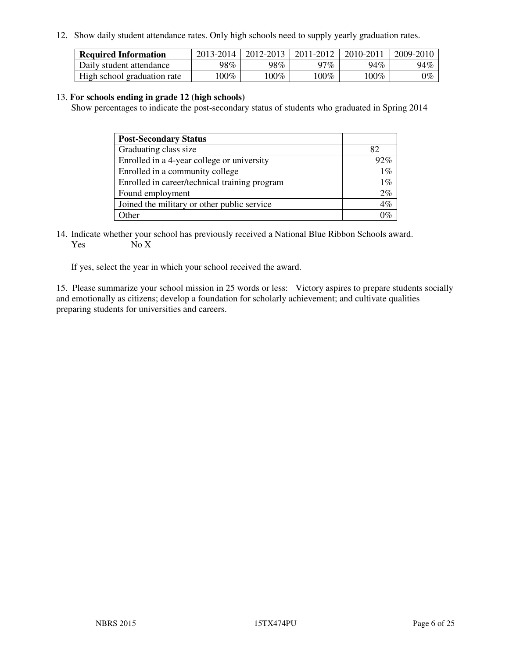12. Show daily student attendance rates. Only high schools need to supply yearly graduation rates.

| <b>Required Information</b> | 2013-2014 | 2012-2013 | 2011-2012 | 2010-2011 | 2009-2010 |
|-----------------------------|-----------|-----------|-----------|-----------|-----------|
| Daily student attendance    | 98%       | 98%       | 97%       | 94%       | 94%       |
| High school graduation rate | $00\%$    | $100\%$   | $.00\%$   | 100%      | $0\%$     |

#### 13. **For schools ending in grade 12 (high schools)**

Show percentages to indicate the post-secondary status of students who graduated in Spring 2014

| <b>Post-Secondary Status</b>                  |       |
|-----------------------------------------------|-------|
| Graduating class size                         | 82    |
| Enrolled in a 4-year college or university    | 92%   |
| Enrolled in a community college               | $1\%$ |
| Enrolled in career/technical training program | $1\%$ |
| Found employment                              | 2%    |
| Joined the military or other public service   | 4%    |
| Other                                         | ገማ    |

14. Indicate whether your school has previously received a National Blue Ribbon Schools award. Yes No X

If yes, select the year in which your school received the award.

15. Please summarize your school mission in 25 words or less: Victory aspires to prepare students socially and emotionally as citizens; develop a foundation for scholarly achievement; and cultivate qualities preparing students for universities and careers.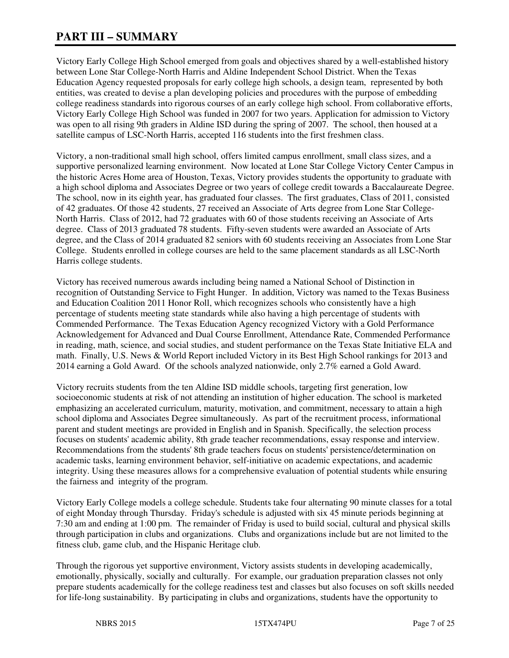# **PART III – SUMMARY**

Victory Early College High School emerged from goals and objectives shared by a well-established history between Lone Star College-North Harris and Aldine Independent School District. When the Texas Education Agency requested proposals for early college high schools, a design team, represented by both entities, was created to devise a plan developing policies and procedures with the purpose of embedding college readiness standards into rigorous courses of an early college high school. From collaborative efforts, Victory Early College High School was funded in 2007 for two years. Application for admission to Victory was open to all rising 9th graders in Aldine ISD during the spring of 2007. The school, then housed at a satellite campus of LSC-North Harris, accepted 116 students into the first freshmen class.

Victory, a non-traditional small high school, offers limited campus enrollment, small class sizes, and a supportive personalized learning environment. Now located at Lone Star College Victory Center Campus in the historic Acres Home area of Houston, Texas, Victory provides students the opportunity to graduate with a high school diploma and Associates Degree or two years of college credit towards a Baccalaureate Degree. The school, now in its eighth year, has graduated four classes. The first graduates, Class of 2011, consisted of 42 graduates. Of those 42 students, 27 received an Associate of Arts degree from Lone Star College-North Harris. Class of 2012, had 72 graduates with 60 of those students receiving an Associate of Arts degree. Class of 2013 graduated 78 students. Fifty-seven students were awarded an Associate of Arts degree, and the Class of 2014 graduated 82 seniors with 60 students receiving an Associates from Lone Star College. Students enrolled in college courses are held to the same placement standards as all LSC-North Harris college students.

Victory has received numerous awards including being named a National School of Distinction in recognition of Outstanding Service to Fight Hunger. In addition, Victory was named to the Texas Business and Education Coalition 2011 Honor Roll, which recognizes schools who consistently have a high percentage of students meeting state standards while also having a high percentage of students with Commended Performance. The Texas Education Agency recognized Victory with a Gold Performance Acknowledgement for Advanced and Dual Course Enrollment, Attendance Rate, Commended Performance in reading, math, science, and social studies, and student performance on the Texas State Initiative ELA and math. Finally, U.S. News & World Report included Victory in its Best High School rankings for 2013 and 2014 earning a Gold Award. Of the schools analyzed nationwide, only 2.7% earned a Gold Award.

Victory recruits students from the ten Aldine ISD middle schools, targeting first generation, low socioeconomic students at risk of not attending an institution of higher education. The school is marketed emphasizing an accelerated curriculum, maturity, motivation, and commitment, necessary to attain a high school diploma and Associates Degree simultaneously. As part of the recruitment process, informational parent and student meetings are provided in English and in Spanish. Specifically, the selection process focuses on students' academic ability, 8th grade teacher recommendations, essay response and interview. Recommendations from the students' 8th grade teachers focus on students' persistence/determination on academic tasks, learning environment behavior, self-initiative on academic expectations, and academic integrity. Using these measures allows for a comprehensive evaluation of potential students while ensuring the fairness and integrity of the program.

Victory Early College models a college schedule. Students take four alternating 90 minute classes for a total of eight Monday through Thursday. Friday's schedule is adjusted with six 45 minute periods beginning at 7:30 am and ending at 1:00 pm. The remainder of Friday is used to build social, cultural and physical skills through participation in clubs and organizations. Clubs and organizations include but are not limited to the fitness club, game club, and the Hispanic Heritage club.

Through the rigorous yet supportive environment, Victory assists students in developing academically, emotionally, physically, socially and culturally. For example, our graduation preparation classes not only prepare students academically for the college readiness test and classes but also focuses on soft skills needed for life-long sustainability. By participating in clubs and organizations, students have the opportunity to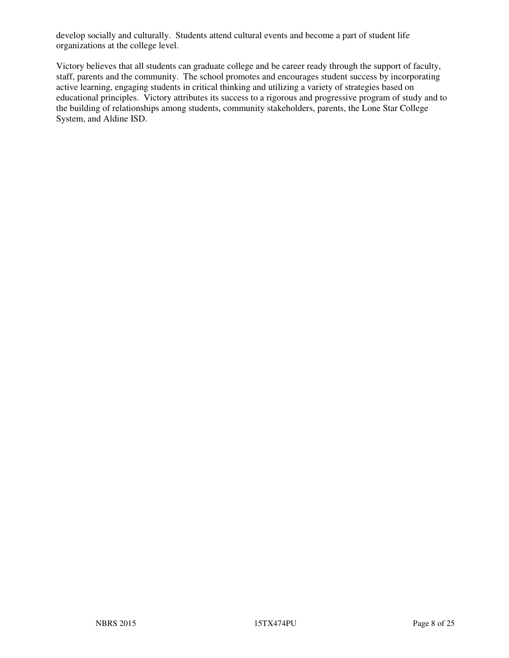develop socially and culturally. Students attend cultural events and become a part of student life organizations at the college level.

Victory believes that all students can graduate college and be career ready through the support of faculty, staff, parents and the community. The school promotes and encourages student success by incorporating active learning, engaging students in critical thinking and utilizing a variety of strategies based on educational principles. Victory attributes its success to a rigorous and progressive program of study and to the building of relationships among students, community stakeholders, parents, the Lone Star College System, and Aldine ISD.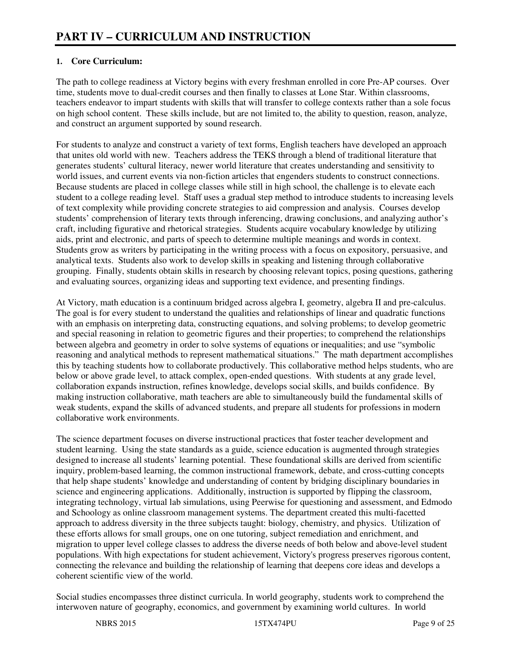#### **1. Core Curriculum:**

The path to college readiness at Victory begins with every freshman enrolled in core Pre-AP courses. Over time, students move to dual-credit courses and then finally to classes at Lone Star. Within classrooms, teachers endeavor to impart students with skills that will transfer to college contexts rather than a sole focus on high school content. These skills include, but are not limited to, the ability to question, reason, analyze, and construct an argument supported by sound research.

For students to analyze and construct a variety of text forms, English teachers have developed an approach that unites old world with new. Teachers address the TEKS through a blend of traditional literature that generates students' cultural literacy, newer world literature that creates understanding and sensitivity to world issues, and current events via non-fiction articles that engenders students to construct connections. Because students are placed in college classes while still in high school, the challenge is to elevate each student to a college reading level. Staff uses a gradual step method to introduce students to increasing levels of text complexity while providing concrete strategies to aid compression and analysis. Courses develop students' comprehension of literary texts through inferencing, drawing conclusions, and analyzing author's craft, including figurative and rhetorical strategies. Students acquire vocabulary knowledge by utilizing aids, print and electronic, and parts of speech to determine multiple meanings and words in context. Students grow as writers by participating in the writing process with a focus on expository, persuasive, and analytical texts. Students also work to develop skills in speaking and listening through collaborative grouping. Finally, students obtain skills in research by choosing relevant topics, posing questions, gathering and evaluating sources, organizing ideas and supporting text evidence, and presenting findings.

At Victory, math education is a continuum bridged across algebra I, geometry, algebra II and pre-calculus. The goal is for every student to understand the qualities and relationships of linear and quadratic functions with an emphasis on interpreting data, constructing equations, and solving problems; to develop geometric and special reasoning in relation to geometric figures and their properties; to comprehend the relationships between algebra and geometry in order to solve systems of equations or inequalities; and use "symbolic reasoning and analytical methods to represent mathematical situations." The math department accomplishes this by teaching students how to collaborate productively. This collaborative method helps students, who are below or above grade level, to attack complex, open-ended questions. With students at any grade level, collaboration expands instruction, refines knowledge, develops social skills, and builds confidence. By making instruction collaborative, math teachers are able to simultaneously build the fundamental skills of weak students, expand the skills of advanced students, and prepare all students for professions in modern collaborative work environments.

The science department focuses on diverse instructional practices that foster teacher development and student learning. Using the state standards as a guide, science education is augmented through strategies designed to increase all students' learning potential. These foundational skills are derived from scientific inquiry, problem-based learning, the common instructional framework, debate, and cross-cutting concepts that help shape students' knowledge and understanding of content by bridging disciplinary boundaries in science and engineering applications. Additionally, instruction is supported by flipping the classroom, integrating technology, virtual lab simulations, using Peerwise for questioning and assessment, and Edmodo and Schoology as online classroom management systems. The department created this multi-facetted approach to address diversity in the three subjects taught: biology, chemistry, and physics. Utilization of these efforts allows for small groups, one on one tutoring, subject remediation and enrichment, and migration to upper level college classes to address the diverse needs of both below and above-level student populations. With high expectations for student achievement, Victory's progress preserves rigorous content, connecting the relevance and building the relationship of learning that deepens core ideas and develops a coherent scientific view of the world.

Social studies encompasses three distinct curricula. In world geography, students work to comprehend the interwoven nature of geography, economics, and government by examining world cultures. In world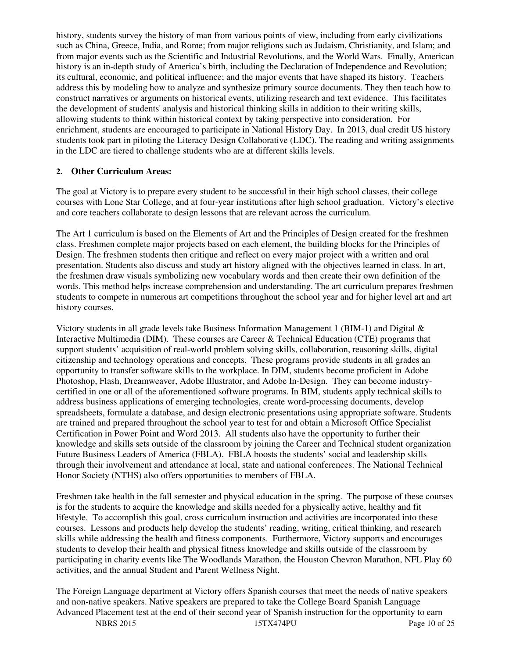history, students survey the history of man from various points of view, including from early civilizations such as China, Greece, India, and Rome; from major religions such as Judaism, Christianity, and Islam; and from major events such as the Scientific and Industrial Revolutions, and the World Wars. Finally, American history is an in-depth study of America's birth, including the Declaration of Independence and Revolution; its cultural, economic, and political influence; and the major events that have shaped its history. Teachers address this by modeling how to analyze and synthesize primary source documents. They then teach how to construct narratives or arguments on historical events, utilizing research and text evidence. This facilitates the development of students' analysis and historical thinking skills in addition to their writing skills, allowing students to think within historical context by taking perspective into consideration. For enrichment, students are encouraged to participate in National History Day. In 2013, dual credit US history students took part in piloting the Literacy Design Collaborative (LDC). The reading and writing assignments in the LDC are tiered to challenge students who are at different skills levels.

#### **2. Other Curriculum Areas:**

The goal at Victory is to prepare every student to be successful in their high school classes, their college courses with Lone Star College, and at four-year institutions after high school graduation. Victory's elective and core teachers collaborate to design lessons that are relevant across the curriculum.

The Art 1 curriculum is based on the Elements of Art and the Principles of Design created for the freshmen class. Freshmen complete major projects based on each element, the building blocks for the Principles of Design. The freshmen students then critique and reflect on every major project with a written and oral presentation. Students also discuss and study art history aligned with the objectives learned in class. In art, the freshmen draw visuals symbolizing new vocabulary words and then create their own definition of the words. This method helps increase comprehension and understanding. The art curriculum prepares freshmen students to compete in numerous art competitions throughout the school year and for higher level art and art history courses.

Victory students in all grade levels take Business Information Management 1 (BIM-1) and Digital  $\&$ Interactive Multimedia (DIM). These courses are Career & Technical Education (CTE) programs that support students' acquisition of real-world problem solving skills, collaboration, reasoning skills, digital citizenship and technology operations and concepts. These programs provide students in all grades an opportunity to transfer software skills to the workplace. In DIM, students become proficient in Adobe Photoshop, Flash, Dreamweaver, Adobe Illustrator, and Adobe In-Design. They can become industrycertified in one or all of the aforementioned software programs. In BIM, students apply technical skills to address business applications of emerging technologies, create word-processing documents, develop spreadsheets, formulate a database, and design electronic presentations using appropriate software. Students are trained and prepared throughout the school year to test for and obtain a Microsoft Office Specialist Certification in Power Point and Word 2013. All students also have the opportunity to further their knowledge and skills sets outside of the classroom by joining the Career and Technical student organization Future Business Leaders of America (FBLA). FBLA boosts the students' social and leadership skills through their involvement and attendance at local, state and national conferences. The National Technical Honor Society (NTHS) also offers opportunities to members of FBLA.

Freshmen take health in the fall semester and physical education in the spring. The purpose of these courses is for the students to acquire the knowledge and skills needed for a physically active, healthy and fit lifestyle. To accomplish this goal, cross curriculum instruction and activities are incorporated into these courses. Lessons and products help develop the students' reading, writing, critical thinking, and research skills while addressing the health and fitness components. Furthermore, Victory supports and encourages students to develop their health and physical fitness knowledge and skills outside of the classroom by participating in charity events like The Woodlands Marathon, the Houston Chevron Marathon, NFL Play 60 activities, and the annual Student and Parent Wellness Night.

The Foreign Language department at Victory offers Spanish courses that meet the needs of native speakers and non-native speakers. Native speakers are prepared to take the College Board Spanish Language Advanced Placement test at the end of their second year of Spanish instruction for the opportunity to earn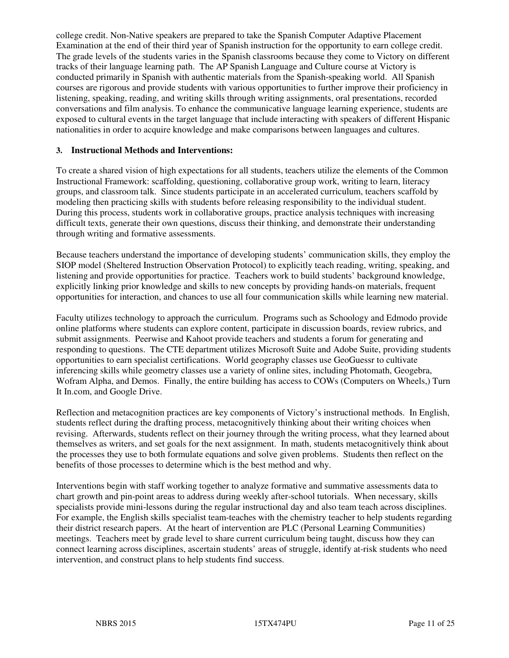college credit. Non-Native speakers are prepared to take the Spanish Computer Adaptive Placement Examination at the end of their third year of Spanish instruction for the opportunity to earn college credit. The grade levels of the students varies in the Spanish classrooms because they come to Victory on different tracks of their language learning path. The AP Spanish Language and Culture course at Victory is conducted primarily in Spanish with authentic materials from the Spanish-speaking world. All Spanish courses are rigorous and provide students with various opportunities to further improve their proficiency in listening, speaking, reading, and writing skills through writing assignments, oral presentations, recorded conversations and film analysis. To enhance the communicative language learning experience, students are exposed to cultural events in the target language that include interacting with speakers of different Hispanic nationalities in order to acquire knowledge and make comparisons between languages and cultures.

#### **3. Instructional Methods and Interventions:**

To create a shared vision of high expectations for all students, teachers utilize the elements of the Common Instructional Framework: scaffolding, questioning, collaborative group work, writing to learn, literacy groups, and classroom talk. Since students participate in an accelerated curriculum, teachers scaffold by modeling then practicing skills with students before releasing responsibility to the individual student. During this process, students work in collaborative groups, practice analysis techniques with increasing difficult texts, generate their own questions, discuss their thinking, and demonstrate their understanding through writing and formative assessments.

Because teachers understand the importance of developing students' communication skills, they employ the SIOP model (Sheltered Instruction Observation Protocol) to explicitly teach reading, writing, speaking, and listening and provide opportunities for practice. Teachers work to build students' background knowledge, explicitly linking prior knowledge and skills to new concepts by providing hands-on materials, frequent opportunities for interaction, and chances to use all four communication skills while learning new material.

Faculty utilizes technology to approach the curriculum. Programs such as Schoology and Edmodo provide online platforms where students can explore content, participate in discussion boards, review rubrics, and submit assignments. Peerwise and Kahoot provide teachers and students a forum for generating and responding to questions. The CTE department utilizes Microsoft Suite and Adobe Suite, providing students opportunities to earn specialist certifications. World geography classes use GeoGuessr to cultivate inferencing skills while geometry classes use a variety of online sites, including Photomath, Geogebra, Wofram Alpha, and Demos. Finally, the entire building has access to COWs (Computers on Wheels,) Turn It In.com, and Google Drive.

Reflection and metacognition practices are key components of Victory's instructional methods. In English, students reflect during the drafting process, metacognitively thinking about their writing choices when revising. Afterwards, students reflect on their journey through the writing process, what they learned about themselves as writers, and set goals for the next assignment. In math, students metacognitively think about the processes they use to both formulate equations and solve given problems. Students then reflect on the benefits of those processes to determine which is the best method and why.

Interventions begin with staff working together to analyze formative and summative assessments data to chart growth and pin-point areas to address during weekly after-school tutorials. When necessary, skills specialists provide mini-lessons during the regular instructional day and also team teach across disciplines. For example, the English skills specialist team-teaches with the chemistry teacher to help students regarding their district research papers. At the heart of intervention are PLC (Personal Learning Communities) meetings. Teachers meet by grade level to share current curriculum being taught, discuss how they can connect learning across disciplines, ascertain students' areas of struggle, identify at-risk students who need intervention, and construct plans to help students find success.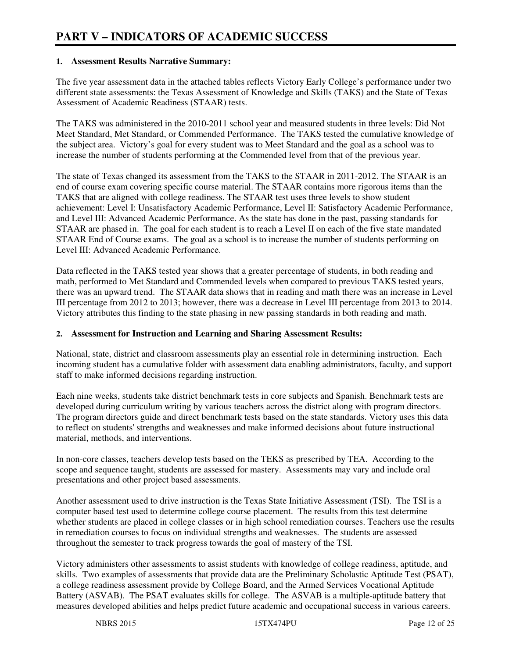#### **1. Assessment Results Narrative Summary:**

The five year assessment data in the attached tables reflects Victory Early College's performance under two different state assessments: the Texas Assessment of Knowledge and Skills (TAKS) and the State of Texas Assessment of Academic Readiness (STAAR) tests.

The TAKS was administered in the 2010-2011 school year and measured students in three levels: Did Not Meet Standard, Met Standard, or Commended Performance. The TAKS tested the cumulative knowledge of the subject area. Victory's goal for every student was to Meet Standard and the goal as a school was to increase the number of students performing at the Commended level from that of the previous year.

The state of Texas changed its assessment from the TAKS to the STAAR in 2011-2012. The STAAR is an end of course exam covering specific course material. The STAAR contains more rigorous items than the TAKS that are aligned with college readiness. The STAAR test uses three levels to show student achievement: Level I: Unsatisfactory Academic Performance, Level II: Satisfactory Academic Performance, and Level III: Advanced Academic Performance. As the state has done in the past, passing standards for STAAR are phased in. The goal for each student is to reach a Level II on each of the five state mandated STAAR End of Course exams. The goal as a school is to increase the number of students performing on Level III: Advanced Academic Performance.

Data reflected in the TAKS tested year shows that a greater percentage of students, in both reading and math, performed to Met Standard and Commended levels when compared to previous TAKS tested years, there was an upward trend. The STAAR data shows that in reading and math there was an increase in Level III percentage from 2012 to 2013; however, there was a decrease in Level III percentage from 2013 to 2014. Victory attributes this finding to the state phasing in new passing standards in both reading and math.

#### **2. Assessment for Instruction and Learning and Sharing Assessment Results:**

National, state, district and classroom assessments play an essential role in determining instruction. Each incoming student has a cumulative folder with assessment data enabling administrators, faculty, and support staff to make informed decisions regarding instruction.

Each nine weeks, students take district benchmark tests in core subjects and Spanish. Benchmark tests are developed during curriculum writing by various teachers across the district along with program directors. The program directors guide and direct benchmark tests based on the state standards. Victory uses this data to reflect on students' strengths and weaknesses and make informed decisions about future instructional material, methods, and interventions.

In non-core classes, teachers develop tests based on the TEKS as prescribed by TEA. According to the scope and sequence taught, students are assessed for mastery. Assessments may vary and include oral presentations and other project based assessments.

Another assessment used to drive instruction is the Texas State Initiative Assessment (TSI). The TSI is a computer based test used to determine college course placement. The results from this test determine whether students are placed in college classes or in high school remediation courses. Teachers use the results in remediation courses to focus on individual strengths and weaknesses. The students are assessed throughout the semester to track progress towards the goal of mastery of the TSI.

Victory administers other assessments to assist students with knowledge of college readiness, aptitude, and skills. Two examples of assessments that provide data are the Preliminary Scholastic Aptitude Test (PSAT), a college readiness assessment provide by College Board, and the Armed Services Vocational Aptitude Battery (ASVAB). The PSAT evaluates skills for college. The ASVAB is a multiple-aptitude battery that measures developed abilities and helps predict future academic and occupational success in various careers.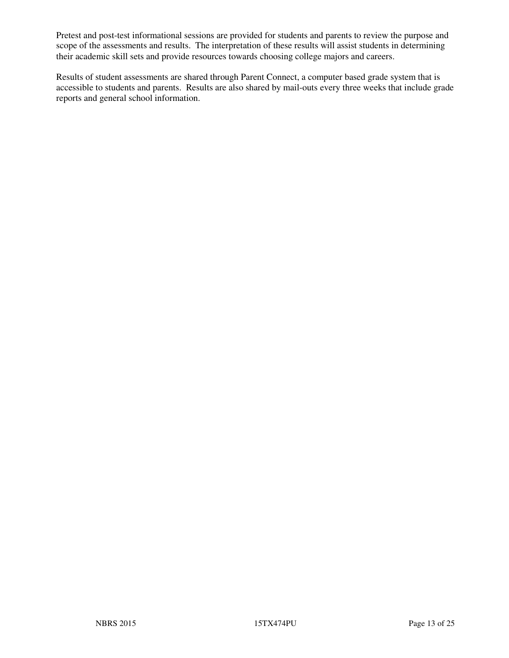Pretest and post-test informational sessions are provided for students and parents to review the purpose and scope of the assessments and results. The interpretation of these results will assist students in determining their academic skill sets and provide resources towards choosing college majors and careers.

Results of student assessments are shared through Parent Connect, a computer based grade system that is accessible to students and parents. Results are also shared by mail-outs every three weeks that include grade reports and general school information.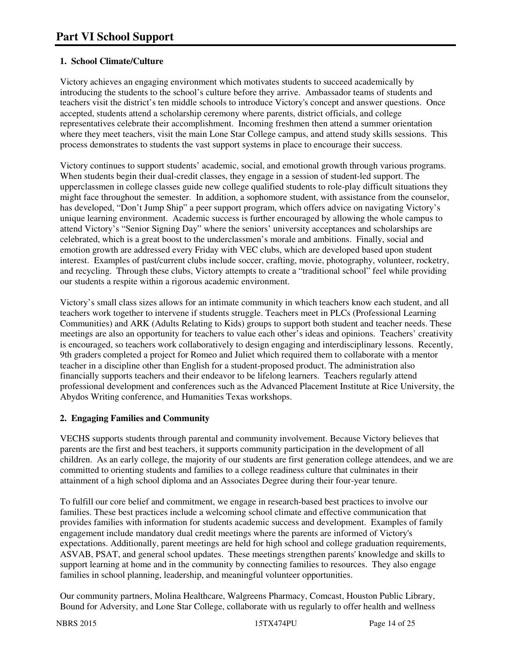#### **1. School Climate/Culture**

Victory achieves an engaging environment which motivates students to succeed academically by introducing the students to the school's culture before they arrive. Ambassador teams of students and teachers visit the district's ten middle schools to introduce Victory's concept and answer questions. Once accepted, students attend a scholarship ceremony where parents, district officials, and college representatives celebrate their accomplishment. Incoming freshmen then attend a summer orientation where they meet teachers, visit the main Lone Star College campus, and attend study skills sessions. This process demonstrates to students the vast support systems in place to encourage their success.

Victory continues to support students' academic, social, and emotional growth through various programs. When students begin their dual-credit classes, they engage in a session of student-led support. The upperclassmen in college classes guide new college qualified students to role-play difficult situations they might face throughout the semester. In addition, a sophomore student, with assistance from the counselor, has developed, "Don't Jump Ship" a peer support program, which offers advice on navigating Victory's unique learning environment. Academic success is further encouraged by allowing the whole campus to attend Victory's "Senior Signing Day" where the seniors' university acceptances and scholarships are celebrated, which is a great boost to the underclassmen's morale and ambitions. Finally, social and emotion growth are addressed every Friday with VEC clubs, which are developed based upon student interest. Examples of past/current clubs include soccer, crafting, movie, photography, volunteer, rocketry, and recycling. Through these clubs, Victory attempts to create a "traditional school" feel while providing our students a respite within a rigorous academic environment.

Victory's small class sizes allows for an intimate community in which teachers know each student, and all teachers work together to intervene if students struggle. Teachers meet in PLCs (Professional Learning Communities) and ARK (Adults Relating to Kids) groups to support both student and teacher needs. These meetings are also an opportunity for teachers to value each other's ideas and opinions. Teachers' creativity is encouraged, so teachers work collaboratively to design engaging and interdisciplinary lessons. Recently, 9th graders completed a project for Romeo and Juliet which required them to collaborate with a mentor teacher in a discipline other than English for a student-proposed product. The administration also financially supports teachers and their endeavor to be lifelong learners. Teachers regularly attend professional development and conferences such as the Advanced Placement Institute at Rice University, the Abydos Writing conference, and Humanities Texas workshops.

#### **2. Engaging Families and Community**

VECHS supports students through parental and community involvement. Because Victory believes that parents are the first and best teachers, it supports community participation in the development of all children. As an early college, the majority of our students are first generation college attendees, and we are committed to orienting students and families to a college readiness culture that culminates in their attainment of a high school diploma and an Associates Degree during their four-year tenure.

To fulfill our core belief and commitment, we engage in research-based best practices to involve our families. These best practices include a welcoming school climate and effective communication that provides families with information for students academic success and development. Examples of family engagement include mandatory dual credit meetings where the parents are informed of Victory's expectations. Additionally, parent meetings are held for high school and college graduation requirements, ASVAB, PSAT, and general school updates. These meetings strengthen parents' knowledge and skills to support learning at home and in the community by connecting families to resources. They also engage families in school planning, leadership, and meaningful volunteer opportunities.

Our community partners, Molina Healthcare, Walgreens Pharmacy, Comcast, Houston Public Library, Bound for Adversity, and Lone Star College, collaborate with us regularly to offer health and wellness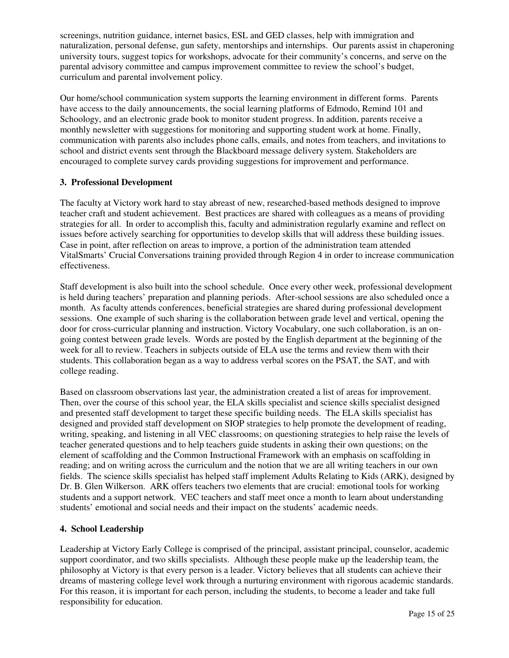screenings, nutrition guidance, internet basics, ESL and GED classes, help with immigration and naturalization, personal defense, gun safety, mentorships and internships. Our parents assist in chaperoning university tours, suggest topics for workshops, advocate for their community's concerns, and serve on the parental advisory committee and campus improvement committee to review the school's budget, curriculum and parental involvement policy.

Our home/school communication system supports the learning environment in different forms. Parents have access to the daily announcements, the social learning platforms of Edmodo, Remind 101 and Schoology, and an electronic grade book to monitor student progress. In addition, parents receive a monthly newsletter with suggestions for monitoring and supporting student work at home. Finally, communication with parents also includes phone calls, emails, and notes from teachers, and invitations to school and district events sent through the Blackboard message delivery system. Stakeholders are encouraged to complete survey cards providing suggestions for improvement and performance.

#### **3. Professional Development**

The faculty at Victory work hard to stay abreast of new, researched-based methods designed to improve teacher craft and student achievement. Best practices are shared with colleagues as a means of providing strategies for all. In order to accomplish this, faculty and administration regularly examine and reflect on issues before actively searching for opportunities to develop skills that will address these building issues. Case in point, after reflection on areas to improve, a portion of the administration team attended VitalSmarts' Crucial Conversations training provided through Region 4 in order to increase communication effectiveness.

Staff development is also built into the school schedule. Once every other week, professional development is held during teachers' preparation and planning periods. After-school sessions are also scheduled once a month. As faculty attends conferences, beneficial strategies are shared during professional development sessions. One example of such sharing is the collaboration between grade level and vertical, opening the door for cross-curricular planning and instruction. Victory Vocabulary, one such collaboration, is an ongoing contest between grade levels. Words are posted by the English department at the beginning of the week for all to review. Teachers in subjects outside of ELA use the terms and review them with their students. This collaboration began as a way to address verbal scores on the PSAT, the SAT, and with college reading.

Based on classroom observations last year, the administration created a list of areas for improvement. Then, over the course of this school year, the ELA skills specialist and science skills specialist designed and presented staff development to target these specific building needs. The ELA skills specialist has designed and provided staff development on SIOP strategies to help promote the development of reading, writing, speaking, and listening in all VEC classrooms; on questioning strategies to help raise the levels of teacher generated questions and to help teachers guide students in asking their own questions; on the element of scaffolding and the Common Instructional Framework with an emphasis on scaffolding in reading; and on writing across the curriculum and the notion that we are all writing teachers in our own fields. The science skills specialist has helped staff implement Adults Relating to Kids (ARK), designed by Dr. B. Glen Wilkerson. ARK offers teachers two elements that are crucial: emotional tools for working students and a support network. VEC teachers and staff meet once a month to learn about understanding students' emotional and social needs and their impact on the students' academic needs.

#### **4. School Leadership**

Leadership at Victory Early College is comprised of the principal, assistant principal, counselor, academic support coordinator, and two skills specialists. Although these people make up the leadership team, the philosophy at Victory is that every person is a leader. Victory believes that all students can achieve their dreams of mastering college level work through a nurturing environment with rigorous academic standards. For this reason, it is important for each person, including the students, to become a leader and take full responsibility for education.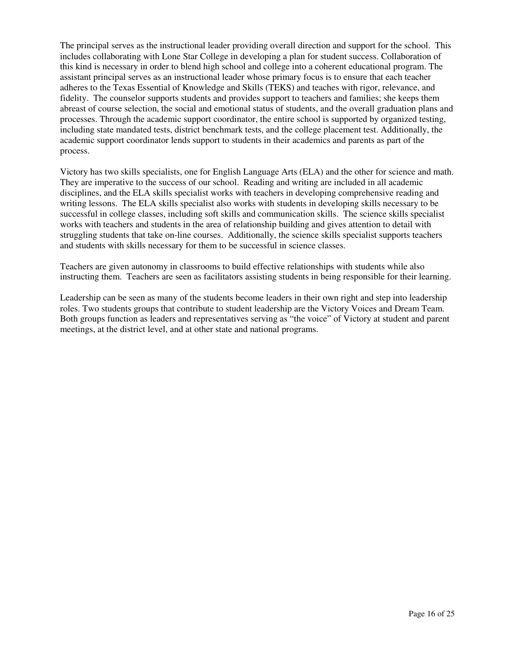The principal serves as the instructional leader providing overall direction and support for the school. This includes collaborating with Lone Star College in developing a plan for student success. Collaboration of this kind is necessary in order to blend high school and college into a coherent educational program. The assistant principal serves as an instructional leader whose primary focus is to ensure that each teacher adheres to the Texas Essential of Knowledge and Skills (TEKS) and teaches with rigor, relevance, and fidelity. The counselor supports students and provides support to teachers and families; she keeps them abreast of course selection, the social and emotional status of students, and the overall graduation plans and processes. Through the academic support coordinator, the entire school is supported by organized testing, including state mandated tests, district benchmark tests, and the college placement test. Additionally, the academic support coordinator lends support to students in their academics and parents as part of the process.

Victory has two skills specialists, one for English Language Arts (ELA) and the other for science and math. They are imperative to the success of our school. Reading and writing are included in all academic disciplines, and the ELA skills specialist works with teachers in developing comprehensive reading and writing lessons. The ELA skills specialist also works with students in developing skills necessary to be successful in college classes, including soft skills and communication skills. The science skills specialist works with teachers and students in the area of relationship building and gives attention to detail with struggling students that take on-line courses. Additionally, the science skills specialist supports teachers and students with skills necessary for them to be successful in science classes.

Teachers are given autonomy in classrooms to build effective relationships with students while also instructing them. Teachers are seen as facilitators assisting students in being responsible for their learning.

Leadership can be seen as many of the students become leaders in their own right and step into leadership roles. Two students groups that contribute to student leadership are the Victory Voices and Dream Team. Both groups function as leaders and representatives serving as "the voice" of Victory at student and parent meetings, at the district level, and at other state and national programs.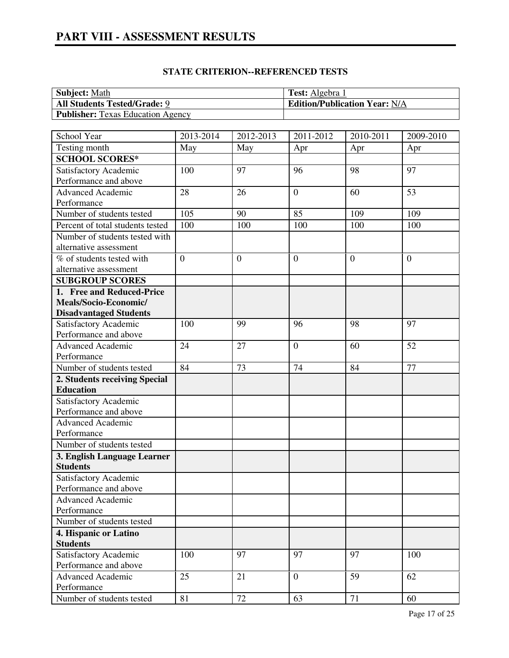# **PART VIII - ASSESSMENT RESULTS**

#### **STATE CRITERION--REFERENCED TESTS**

| <b>Subject:</b> Math                     | <b>Test:</b> Algebra 1               |
|------------------------------------------|--------------------------------------|
| <b>All Students Tested/Grade: 9</b>      | <b>Edition/Publication Year: N/A</b> |
| <b>Publisher:</b> Texas Education Agency |                                      |

| School Year                                    | 2013-2014      | 2012-2013    | 2011-2012        | 2010-2011      | 2009-2010      |
|------------------------------------------------|----------------|--------------|------------------|----------------|----------------|
| Testing month                                  | May            | May          | Apr              | Apr            | Apr            |
| <b>SCHOOL SCORES*</b>                          |                |              |                  |                |                |
| Satisfactory Academic                          | 100            | 97           | 96               | 98             | 97             |
| Performance and above                          |                |              |                  |                |                |
| <b>Advanced Academic</b>                       | 28             | 26           | $\overline{0}$   | 60             | 53             |
| Performance                                    |                |              |                  |                |                |
| Number of students tested                      | 105            | 90           | 85               | 109            | 109            |
| Percent of total students tested               | 100            | 100          | 100              | 100            | 100            |
| Number of students tested with                 |                |              |                  |                |                |
| alternative assessment                         |                |              |                  |                |                |
| % of students tested with                      | $\overline{0}$ | $\mathbf{0}$ | $\boldsymbol{0}$ | $\overline{0}$ | $\overline{0}$ |
| alternative assessment                         |                |              |                  |                |                |
| <b>SUBGROUP SCORES</b>                         |                |              |                  |                |                |
| 1. Free and Reduced-Price                      |                |              |                  |                |                |
| Meals/Socio-Economic/                          |                |              |                  |                |                |
| <b>Disadvantaged Students</b>                  |                |              |                  |                |                |
| Satisfactory Academic                          | 100            | 99           | 96               | 98             | 97             |
| Performance and above                          |                |              |                  |                |                |
| Advanced Academic                              | 24             | 27           | $\overline{0}$   | 60             | 52             |
| Performance                                    |                |              |                  |                |                |
| Number of students tested                      | 84             | 73           | 74               | 84             | 77             |
| 2. Students receiving Special                  |                |              |                  |                |                |
| <b>Education</b>                               |                |              |                  |                |                |
| Satisfactory Academic                          |                |              |                  |                |                |
| Performance and above                          |                |              |                  |                |                |
| Advanced Academic                              |                |              |                  |                |                |
| Performance                                    |                |              |                  |                |                |
| Number of students tested                      |                |              |                  |                |                |
| 3. English Language Learner                    |                |              |                  |                |                |
| <b>Students</b>                                |                |              |                  |                |                |
| Satisfactory Academic<br>Performance and above |                |              |                  |                |                |
| <b>Advanced Academic</b>                       |                |              |                  |                |                |
| Performance                                    |                |              |                  |                |                |
| Number of students tested                      |                |              |                  |                |                |
| 4. Hispanic or Latino                          |                |              |                  |                |                |
| <b>Students</b>                                |                |              |                  |                |                |
| Satisfactory Academic                          | 100            | 97           | 97               | 97             | 100            |
| Performance and above                          |                |              |                  |                |                |
| Advanced Academic                              | 25             | 21           | $\overline{0}$   | 59             | 62             |
| Performance                                    |                |              |                  |                |                |
| Number of students tested                      | 81             | 72           | 63               | 71             | 60             |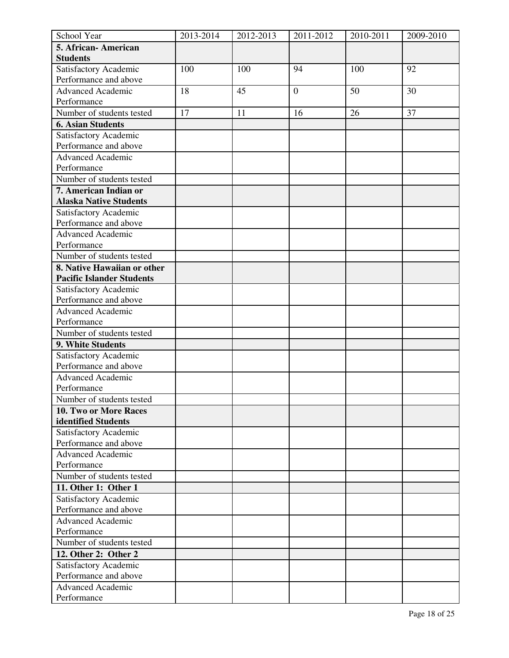| School Year                      | 2013-2014 | 2012-2013 | 2011-2012        | 2010-2011 | 2009-2010 |
|----------------------------------|-----------|-----------|------------------|-----------|-----------|
| 5. African- American             |           |           |                  |           |           |
| <b>Students</b>                  |           |           |                  |           |           |
| Satisfactory Academic            | 100       | 100       | 94               | 100       | 92        |
| Performance and above            |           |           |                  |           |           |
| <b>Advanced Academic</b>         | 18        | 45        | $\boldsymbol{0}$ | 50        | 30        |
| Performance                      |           |           |                  |           |           |
| Number of students tested        | 17        | 11        | 16               | 26        | 37        |
| <b>6. Asian Students</b>         |           |           |                  |           |           |
| Satisfactory Academic            |           |           |                  |           |           |
| Performance and above            |           |           |                  |           |           |
| <b>Advanced Academic</b>         |           |           |                  |           |           |
| Performance                      |           |           |                  |           |           |
| Number of students tested        |           |           |                  |           |           |
| 7. American Indian or            |           |           |                  |           |           |
| <b>Alaska Native Students</b>    |           |           |                  |           |           |
| Satisfactory Academic            |           |           |                  |           |           |
| Performance and above            |           |           |                  |           |           |
| <b>Advanced Academic</b>         |           |           |                  |           |           |
| Performance                      |           |           |                  |           |           |
| Number of students tested        |           |           |                  |           |           |
| 8. Native Hawaiian or other      |           |           |                  |           |           |
| <b>Pacific Islander Students</b> |           |           |                  |           |           |
| Satisfactory Academic            |           |           |                  |           |           |
| Performance and above            |           |           |                  |           |           |
| <b>Advanced Academic</b>         |           |           |                  |           |           |
| Performance                      |           |           |                  |           |           |
| Number of students tested        |           |           |                  |           |           |
| 9. White Students                |           |           |                  |           |           |
| Satisfactory Academic            |           |           |                  |           |           |
| Performance and above            |           |           |                  |           |           |
| <b>Advanced Academic</b>         |           |           |                  |           |           |
| Performance                      |           |           |                  |           |           |
| Number of students tested        |           |           |                  |           |           |
| 10. Two or More Races            |           |           |                  |           |           |
| identified Students              |           |           |                  |           |           |
| Satisfactory Academic            |           |           |                  |           |           |
| Performance and above            |           |           |                  |           |           |
| <b>Advanced Academic</b>         |           |           |                  |           |           |
| Performance                      |           |           |                  |           |           |
| Number of students tested        |           |           |                  |           |           |
| 11. Other 1: Other 1             |           |           |                  |           |           |
| Satisfactory Academic            |           |           |                  |           |           |
| Performance and above            |           |           |                  |           |           |
| <b>Advanced Academic</b>         |           |           |                  |           |           |
| Performance                      |           |           |                  |           |           |
| Number of students tested        |           |           |                  |           |           |
| 12. Other 2: Other 2             |           |           |                  |           |           |
| Satisfactory Academic            |           |           |                  |           |           |
| Performance and above            |           |           |                  |           |           |
| <b>Advanced Academic</b>         |           |           |                  |           |           |
| Performance                      |           |           |                  |           |           |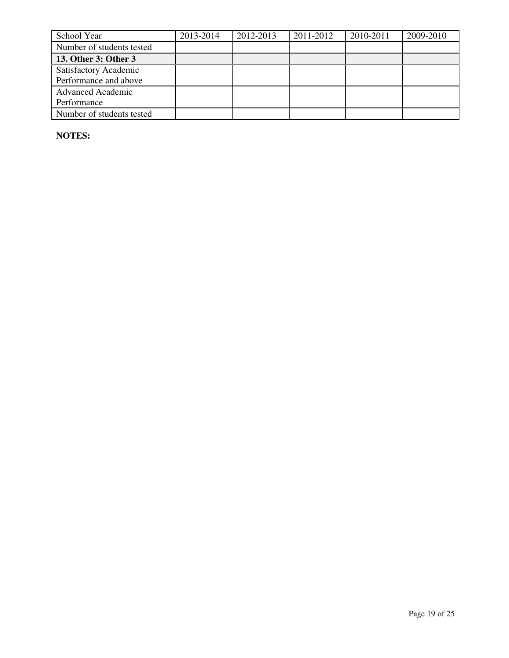| School Year               | 2013-2014 | 2012-2013 | 2011-2012 | 2010-2011 | 2009-2010 |
|---------------------------|-----------|-----------|-----------|-----------|-----------|
| Number of students tested |           |           |           |           |           |
| 13. Other 3: Other 3      |           |           |           |           |           |
| Satisfactory Academic     |           |           |           |           |           |
| Performance and above     |           |           |           |           |           |
| <b>Advanced Academic</b>  |           |           |           |           |           |
| Performance               |           |           |           |           |           |
| Number of students tested |           |           |           |           |           |

**NOTES:**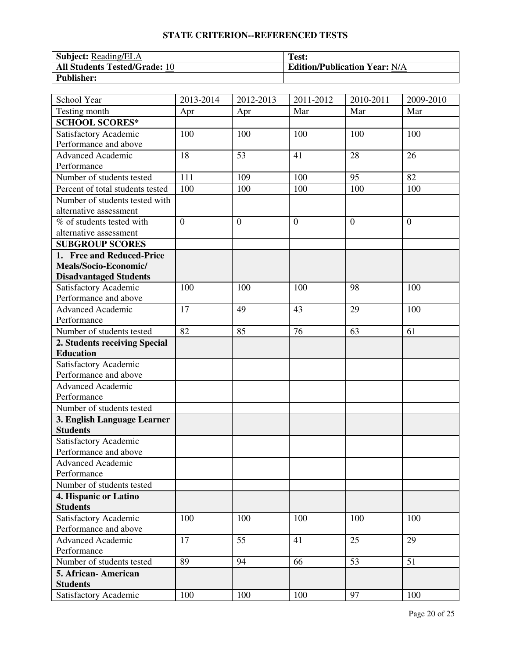#### **STATE CRITERION--REFERENCED TESTS**

| <b>Subject:</b> Reading/ELA          | Test:                                |
|--------------------------------------|--------------------------------------|
| <b>All Students Tested/Grade: 10</b> | <b>Edition/Publication Year: N/A</b> |
| <b>Publisher:</b>                    |                                      |

| School Year                      | 2013-2014      | 2012-2013      | 2011-2012      | 2010-2011 | 2009-2010      |
|----------------------------------|----------------|----------------|----------------|-----------|----------------|
| Testing month                    | Apr            | Apr            | Mar            | Mar       | Mar            |
| <b>SCHOOL SCORES*</b>            |                |                |                |           |                |
| Satisfactory Academic            | 100            | 100            | 100            | 100       | 100            |
| Performance and above            |                |                |                |           |                |
| <b>Advanced Academic</b>         | 18             | 53             | 41             | 28        | 26             |
| Performance                      |                |                |                |           |                |
| Number of students tested        | 111            | 109            | 100            | 95        | 82             |
| Percent of total students tested | 100            | 100            | 100            | 100       | 100            |
| Number of students tested with   |                |                |                |           |                |
| alternative assessment           |                |                |                |           |                |
| % of students tested with        | $\overline{0}$ | $\overline{0}$ | $\overline{0}$ | $\theta$  | $\overline{0}$ |
| alternative assessment           |                |                |                |           |                |
| <b>SUBGROUP SCORES</b>           |                |                |                |           |                |
| 1. Free and Reduced-Price        |                |                |                |           |                |
| Meals/Socio-Economic/            |                |                |                |           |                |
| <b>Disadvantaged Students</b>    |                |                |                |           |                |
| Satisfactory Academic            | 100            | 100            | 100            | 98        | 100            |
| Performance and above            |                |                |                |           |                |
| <b>Advanced Academic</b>         | 17             | 49             | 43             | 29        | 100            |
| Performance                      |                |                |                |           |                |
| Number of students tested        | 82             | 85             | 76             | 63        | 61             |
| 2. Students receiving Special    |                |                |                |           |                |
| <b>Education</b>                 |                |                |                |           |                |
| Satisfactory Academic            |                |                |                |           |                |
| Performance and above            |                |                |                |           |                |
| <b>Advanced Academic</b>         |                |                |                |           |                |
| Performance                      |                |                |                |           |                |
| Number of students tested        |                |                |                |           |                |
| 3. English Language Learner      |                |                |                |           |                |
| <b>Students</b>                  |                |                |                |           |                |
| Satisfactory Academic            |                |                |                |           |                |
| Performance and above            |                |                |                |           |                |
| Advanced Academic                |                |                |                |           |                |
| Performance                      |                |                |                |           |                |
| Number of students tested        |                |                |                |           |                |
| 4. Hispanic or Latino            |                |                |                |           |                |
| <b>Students</b>                  |                |                |                |           |                |
| <b>Satisfactory Academic</b>     | 100            | 100            | 100            | 100       | 100            |
| Performance and above            |                |                |                |           |                |
| <b>Advanced Academic</b>         | 17             | 55             | 41             | 25        | 29             |
| Performance                      |                |                |                |           |                |
| Number of students tested        | 89             | 94             | 66             | 53        | 51             |
| 5. African-American              |                |                |                |           |                |
| <b>Students</b>                  |                |                |                |           |                |
| Satisfactory Academic            | 100            | 100            | 100            | 97        | 100            |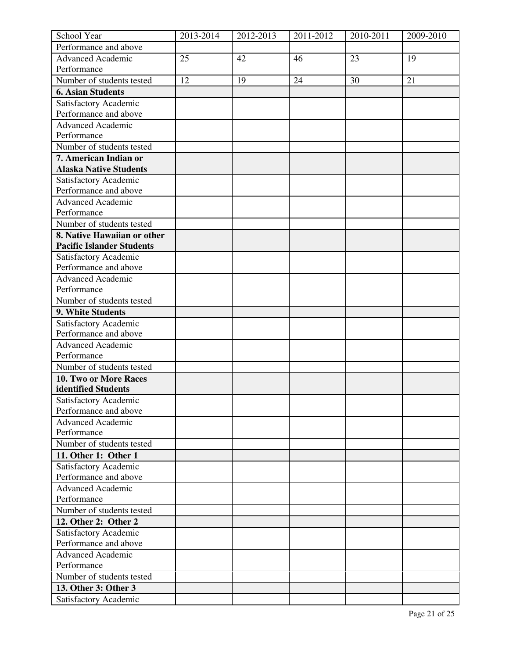| School Year                                    | 2013-2014 | 2012-2013 | 2011-2012 | 2010-2011 | 2009-2010 |
|------------------------------------------------|-----------|-----------|-----------|-----------|-----------|
| Performance and above                          |           |           |           |           |           |
| <b>Advanced Academic</b>                       | 25        | 42        | 46        | 23        | 19        |
| Performance                                    |           |           |           |           |           |
| Number of students tested                      | 12        | 19        | 24        | 30        | 21        |
| <b>6. Asian Students</b>                       |           |           |           |           |           |
| Satisfactory Academic                          |           |           |           |           |           |
| Performance and above                          |           |           |           |           |           |
| Advanced Academic                              |           |           |           |           |           |
| Performance                                    |           |           |           |           |           |
| Number of students tested                      |           |           |           |           |           |
| 7. American Indian or                          |           |           |           |           |           |
| <b>Alaska Native Students</b>                  |           |           |           |           |           |
| Satisfactory Academic                          |           |           |           |           |           |
| Performance and above                          |           |           |           |           |           |
| <b>Advanced Academic</b>                       |           |           |           |           |           |
| Performance                                    |           |           |           |           |           |
| Number of students tested                      |           |           |           |           |           |
| 8. Native Hawaiian or other                    |           |           |           |           |           |
| <b>Pacific Islander Students</b>               |           |           |           |           |           |
| Satisfactory Academic                          |           |           |           |           |           |
| Performance and above                          |           |           |           |           |           |
| <b>Advanced Academic</b>                       |           |           |           |           |           |
| Performance                                    |           |           |           |           |           |
| Number of students tested                      |           |           |           |           |           |
| 9. White Students                              |           |           |           |           |           |
|                                                |           |           |           |           |           |
| Satisfactory Academic<br>Performance and above |           |           |           |           |           |
|                                                |           |           |           |           |           |
| <b>Advanced Academic</b><br>Performance        |           |           |           |           |           |
| Number of students tested                      |           |           |           |           |           |
|                                                |           |           |           |           |           |
| 10. Two or More Races                          |           |           |           |           |           |
| identified Students                            |           |           |           |           |           |
| Satisfactory Academic<br>Performance and above |           |           |           |           |           |
| <b>Advanced Academic</b>                       |           |           |           |           |           |
| Performance                                    |           |           |           |           |           |
|                                                |           |           |           |           |           |
| Number of students tested                      |           |           |           |           |           |
| 11. Other 1: Other 1                           |           |           |           |           |           |
| Satisfactory Academic                          |           |           |           |           |           |
| Performance and above                          |           |           |           |           |           |
| <b>Advanced Academic</b>                       |           |           |           |           |           |
| Performance                                    |           |           |           |           |           |
| Number of students tested                      |           |           |           |           |           |
| 12. Other 2: Other 2                           |           |           |           |           |           |
| Satisfactory Academic                          |           |           |           |           |           |
| Performance and above                          |           |           |           |           |           |
| <b>Advanced Academic</b>                       |           |           |           |           |           |
| Performance                                    |           |           |           |           |           |
| Number of students tested                      |           |           |           |           |           |
| 13. Other 3: Other 3                           |           |           |           |           |           |
| Satisfactory Academic                          |           |           |           |           |           |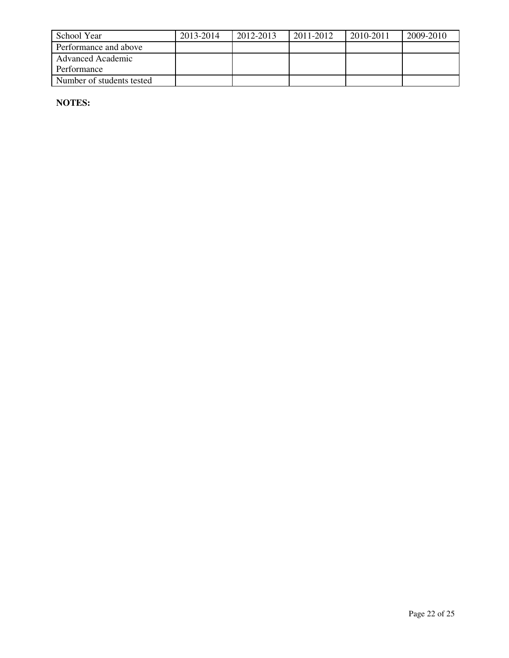| School Year               | 2013-2014 | 2012-2013 | 2011-2012 | 2010-2011 | 2009-2010 |
|---------------------------|-----------|-----------|-----------|-----------|-----------|
| Performance and above     |           |           |           |           |           |
| Advanced Academic         |           |           |           |           |           |
| Performance               |           |           |           |           |           |
| Number of students tested |           |           |           |           |           |

**NOTES:**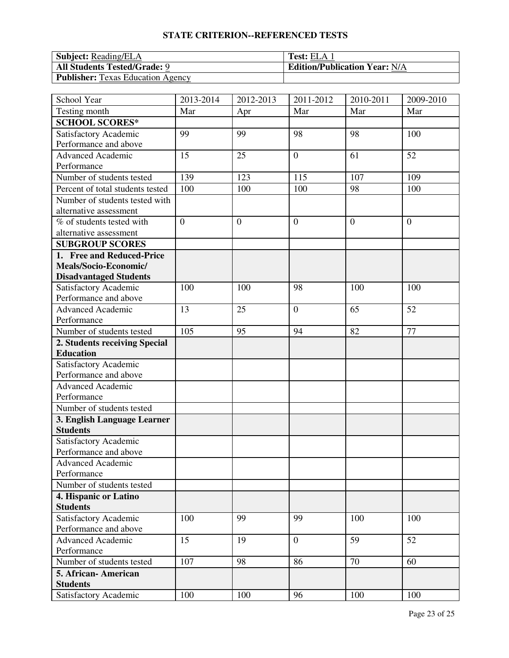#### **STATE CRITERION--REFERENCED TESTS**

| <b>Subject:</b> Reading/ELA              | <b>Test:</b> ELA 1                   |
|------------------------------------------|--------------------------------------|
| <b>All Students Tested/Grade: 9</b>      | <b>Edition/Publication Year: N/A</b> |
| <b>Publisher:</b> Texas Education Agency |                                      |

| School Year                      | 2013-2014      | 2012-2013      | 2011-2012        | 2010-2011      | 2009-2010      |
|----------------------------------|----------------|----------------|------------------|----------------|----------------|
| Testing month                    | Mar            | Apr            | Mar              | Mar            | Mar            |
| <b>SCHOOL SCORES*</b>            |                |                |                  |                |                |
| Satisfactory Academic            | 99             | 99             | 98               | 98             | 100            |
| Performance and above            |                |                |                  |                |                |
| Advanced Academic                | 15             | 25             | $\boldsymbol{0}$ | 61             | 52             |
| Performance                      |                |                |                  |                |                |
| Number of students tested        | 139            | 123            | 115              | 107            | 109            |
| Percent of total students tested | 100            | 100            | 100              | 98             | 100            |
| Number of students tested with   |                |                |                  |                |                |
| alternative assessment           |                |                |                  |                |                |
| % of students tested with        | $\overline{0}$ | $\overline{0}$ | $\mathbf{0}$     | $\overline{0}$ | $\overline{0}$ |
| alternative assessment           |                |                |                  |                |                |
| <b>SUBGROUP SCORES</b>           |                |                |                  |                |                |
| 1. Free and Reduced-Price        |                |                |                  |                |                |
| Meals/Socio-Economic/            |                |                |                  |                |                |
| <b>Disadvantaged Students</b>    |                |                |                  |                |                |
| Satisfactory Academic            | 100            | 100            | 98               | 100            | 100            |
| Performance and above            |                |                |                  |                |                |
| <b>Advanced Academic</b>         | 13             | 25             | $\boldsymbol{0}$ | 65             | 52             |
| Performance                      |                |                |                  |                |                |
| Number of students tested        | 105            | 95             | 94               | 82             | 77             |
| 2. Students receiving Special    |                |                |                  |                |                |
| <b>Education</b>                 |                |                |                  |                |                |
| Satisfactory Academic            |                |                |                  |                |                |
| Performance and above            |                |                |                  |                |                |
| <b>Advanced Academic</b>         |                |                |                  |                |                |
| Performance                      |                |                |                  |                |                |
| Number of students tested        |                |                |                  |                |                |
| 3. English Language Learner      |                |                |                  |                |                |
| <b>Students</b>                  |                |                |                  |                |                |
| Satisfactory Academic            |                |                |                  |                |                |
| Performance and above            |                |                |                  |                |                |
| <b>Advanced Academic</b>         |                |                |                  |                |                |
| Performance                      |                |                |                  |                |                |
| Number of students tested        |                |                |                  |                |                |
| 4. Hispanic or Latino            |                |                |                  |                |                |
| <b>Students</b>                  |                |                |                  |                |                |
| Satisfactory Academic            | 100            | 99             | 99               | 100            | 100            |
| Performance and above            |                |                |                  |                |                |
| <b>Advanced Academic</b>         | 15             | 19             | $\boldsymbol{0}$ | 59             | 52             |
| Performance                      |                |                |                  |                |                |
| Number of students tested        | 107            | 98             | 86               | 70             | 60             |
| 5. African-American              |                |                |                  |                |                |
| <b>Students</b>                  |                |                |                  |                |                |
| Satisfactory Academic            | 100            | 100            | 96               | 100            | 100            |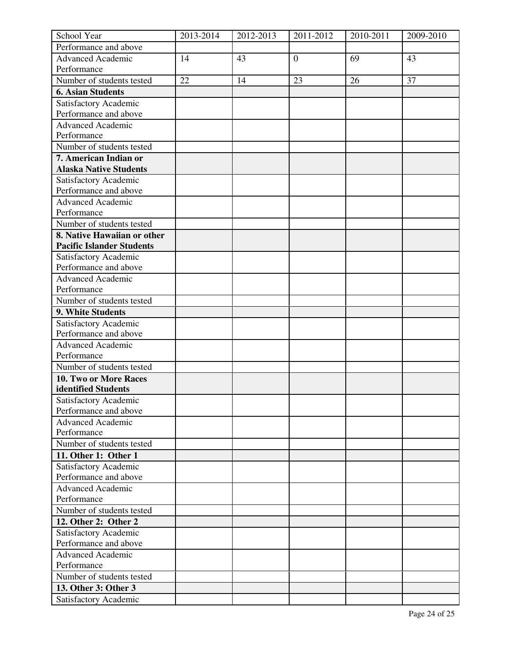| School Year                                       | 2013-2014 | 2012-2013 | 2011-2012        | 2010-2011 | 2009-2010 |
|---------------------------------------------------|-----------|-----------|------------------|-----------|-----------|
| Performance and above                             |           |           |                  |           |           |
| <b>Advanced Academic</b>                          | 14        | 43        | $\boldsymbol{0}$ | 69        | 43        |
| Performance                                       |           |           |                  |           |           |
| Number of students tested                         | 22        | 14        | 23               | 26        | 37        |
| <b>6. Asian Students</b>                          |           |           |                  |           |           |
| Satisfactory Academic                             |           |           |                  |           |           |
| Performance and above                             |           |           |                  |           |           |
| Advanced Academic                                 |           |           |                  |           |           |
| Performance                                       |           |           |                  |           |           |
| Number of students tested                         |           |           |                  |           |           |
| 7. American Indian or                             |           |           |                  |           |           |
| <b>Alaska Native Students</b>                     |           |           |                  |           |           |
| Satisfactory Academic                             |           |           |                  |           |           |
| Performance and above                             |           |           |                  |           |           |
| <b>Advanced Academic</b>                          |           |           |                  |           |           |
| Performance                                       |           |           |                  |           |           |
| Number of students tested                         |           |           |                  |           |           |
| 8. Native Hawaiian or other                       |           |           |                  |           |           |
| <b>Pacific Islander Students</b>                  |           |           |                  |           |           |
| Satisfactory Academic                             |           |           |                  |           |           |
| Performance and above                             |           |           |                  |           |           |
| <b>Advanced Academic</b>                          |           |           |                  |           |           |
| Performance                                       |           |           |                  |           |           |
| Number of students tested                         |           |           |                  |           |           |
| 9. White Students                                 |           |           |                  |           |           |
|                                                   |           |           |                  |           |           |
| Satisfactory Academic<br>Performance and above    |           |           |                  |           |           |
|                                                   |           |           |                  |           |           |
| <b>Advanced Academic</b><br>Performance           |           |           |                  |           |           |
|                                                   |           |           |                  |           |           |
| Number of students tested                         |           |           |                  |           |           |
| <b>10. Two or More Races</b>                      |           |           |                  |           |           |
| identified Students                               |           |           |                  |           |           |
| Satisfactory Academic                             |           |           |                  |           |           |
| Performance and above<br><b>Advanced Academic</b> |           |           |                  |           |           |
| Performance                                       |           |           |                  |           |           |
|                                                   |           |           |                  |           |           |
| Number of students tested                         |           |           |                  |           |           |
| 11. Other 1: Other 1                              |           |           |                  |           |           |
| Satisfactory Academic                             |           |           |                  |           |           |
| Performance and above                             |           |           |                  |           |           |
| <b>Advanced Academic</b>                          |           |           |                  |           |           |
| Performance                                       |           |           |                  |           |           |
| Number of students tested                         |           |           |                  |           |           |
| 12. Other 2: Other 2                              |           |           |                  |           |           |
| Satisfactory Academic                             |           |           |                  |           |           |
| Performance and above                             |           |           |                  |           |           |
| <b>Advanced Academic</b>                          |           |           |                  |           |           |
| Performance                                       |           |           |                  |           |           |
| Number of students tested                         |           |           |                  |           |           |
| 13. Other 3: Other 3                              |           |           |                  |           |           |
| Satisfactory Academic                             |           |           |                  |           |           |